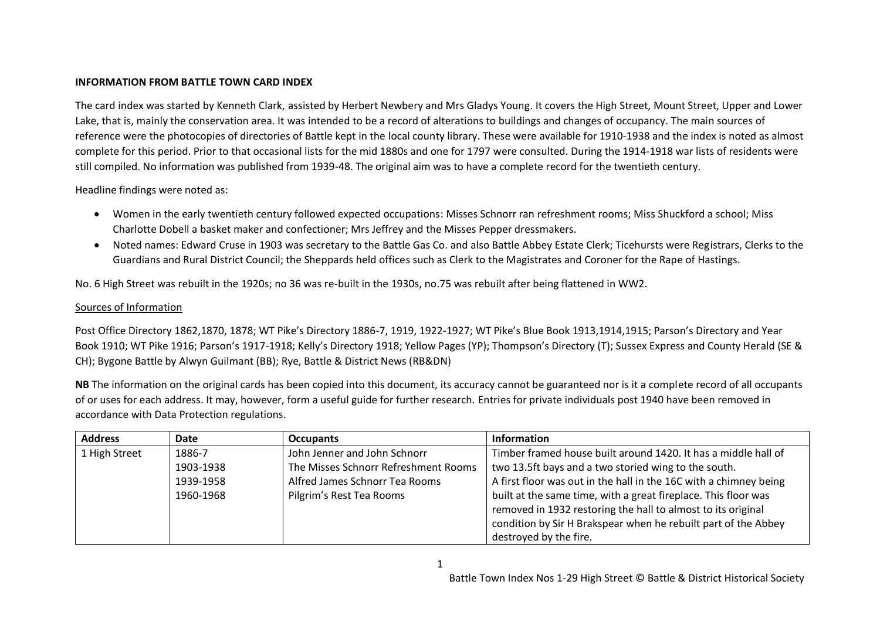## **INFORMATION FROM BATTLE TOWN CARD INDEX**

The card index was started by Kenneth Clark, assisted by Herbert Newbery and Mrs Gladys Young. It covers the High Street, Mount Street, Upper and Lower Lake, that is, mainly the conservation area. It was intended to be a record of alterations to buildings and changes of occupancy. The main sources of reference were the photocopies of directories of Battle kept in the local county library. These were available for 1910-1938 and the index is noted as almost complete for this period. Prior to that occasional lists for the mid 1880s and one for 1797 were consulted. During the 1914-1918 war lists of residents were still compiled. No information was published from 1939-48. The original aim was to have a complete record for the twentieth century.

Headline findings were noted as:

- Women in the early twentieth century followed expected occupations: Misses Schnorr ran refreshment rooms; Miss Shuckford a school; Miss Charlotte Dobell a basket maker and confectioner; Mrs Jeffrey and the Misses Pepper dressmakers.
- Noted names: Edward Cruse in 1903 was secretary to the Battle Gas Co. and also Battle Abbey Estate Clerk; Ticehursts were Registrars, Clerks to the Guardians and Rural District Council; the Sheppards held offices such as Clerk to the Magistrates and Coroner for the Rape of Hastings.

No. 6 High Street was rebuilt in the 1920s; no 36 was re-built in the 1930s, no.75 was rebuilt after being flattened in WW2.

## Sources of Information

Post Office Directory 1862,1870, 1878; WT Pike's Directory 1886-7, 1919, 1922-1927; WT Pike's Blue Book 1913,1914,1915; Parson's Directory and Year Book 1910; WT Pike 1916; Parson's 1917-1918; Kelly's Directory 1918; Yellow Pages (YP); Thompson's Directory (T); Sussex Express and County Herald (SE & CH); Bygone Battle by Alwyn Guilmant (BB); Rye, Battle & District News (RB&DN)

**NB** The information on the original cards has been copied into this document, its accuracy cannot be guaranteed nor is it a complete record of all occupants of or uses for each address. It may, however, form a useful guide for further research. Entries for private individuals post 1940 have been removed in accordance with Data Protection regulations.

| <b>Address</b> | Date      | <b>Occupants</b>                     | <b>Information</b>                                                |
|----------------|-----------|--------------------------------------|-------------------------------------------------------------------|
| 1 High Street  | 1886-7    | John Jenner and John Schnorr         | Timber framed house built around 1420. It has a middle hall of    |
|                | 1903-1938 | The Misses Schnorr Refreshment Rooms | two 13.5ft bays and a two storied wing to the south.              |
|                | 1939-1958 | Alfred James Schnorr Tea Rooms       | A first floor was out in the hall in the 16C with a chimney being |
|                | 1960-1968 | Pilgrim's Rest Tea Rooms             | built at the same time, with a great fireplace. This floor was    |
|                |           |                                      | removed in 1932 restoring the hall to almost to its original      |
|                |           |                                      | condition by Sir H Brakspear when he rebuilt part of the Abbey    |
|                |           |                                      | destroyed by the fire.                                            |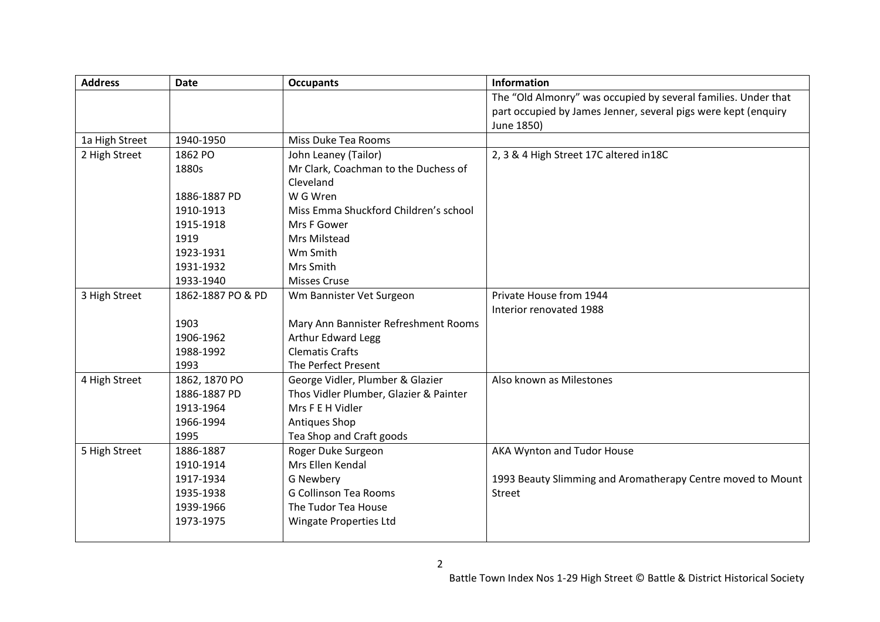| <b>Address</b> | <b>Date</b>       | <b>Occupants</b>                       | <b>Information</b>                                             |
|----------------|-------------------|----------------------------------------|----------------------------------------------------------------|
|                |                   |                                        | The "Old Almonry" was occupied by several families. Under that |
|                |                   |                                        | part occupied by James Jenner, several pigs were kept (enquiry |
|                |                   |                                        | June 1850)                                                     |
| 1a High Street | 1940-1950         | Miss Duke Tea Rooms                    |                                                                |
| 2 High Street  | 1862 PO           | John Leaney (Tailor)                   | 2, 3 & 4 High Street 17C altered in 18C                        |
|                | 1880s             | Mr Clark, Coachman to the Duchess of   |                                                                |
|                |                   | Cleveland                              |                                                                |
|                | 1886-1887 PD      | W G Wren                               |                                                                |
|                | 1910-1913         | Miss Emma Shuckford Children's school  |                                                                |
|                | 1915-1918         | Mrs F Gower                            |                                                                |
|                | 1919              | Mrs Milstead                           |                                                                |
|                | 1923-1931         | Wm Smith                               |                                                                |
|                | 1931-1932         | Mrs Smith                              |                                                                |
|                | 1933-1940         | <b>Misses Cruse</b>                    |                                                                |
| 3 High Street  | 1862-1887 PO & PD | Wm Bannister Vet Surgeon               | Private House from 1944                                        |
|                |                   |                                        | Interior renovated 1988                                        |
|                | 1903              | Mary Ann Bannister Refreshment Rooms   |                                                                |
|                | 1906-1962         | <b>Arthur Edward Legg</b>              |                                                                |
|                | 1988-1992         | <b>Clematis Crafts</b>                 |                                                                |
|                | 1993              | The Perfect Present                    |                                                                |
| 4 High Street  | 1862, 1870 PO     | George Vidler, Plumber & Glazier       | Also known as Milestones                                       |
|                | 1886-1887 PD      | Thos Vidler Plumber, Glazier & Painter |                                                                |
|                | 1913-1964         | Mrs F E H Vidler                       |                                                                |
|                | 1966-1994         | Antiques Shop                          |                                                                |
|                | 1995              | Tea Shop and Craft goods               |                                                                |
| 5 High Street  | 1886-1887         | Roger Duke Surgeon                     | AKA Wynton and Tudor House                                     |
|                | 1910-1914         | Mrs Ellen Kendal                       |                                                                |
|                | 1917-1934         | G Newbery                              | 1993 Beauty Slimming and Aromatherapy Centre moved to Mount    |
|                | 1935-1938         | <b>G Collinson Tea Rooms</b>           | <b>Street</b>                                                  |
|                | 1939-1966         | The Tudor Tea House                    |                                                                |
|                | 1973-1975         | <b>Wingate Properties Ltd</b>          |                                                                |
|                |                   |                                        |                                                                |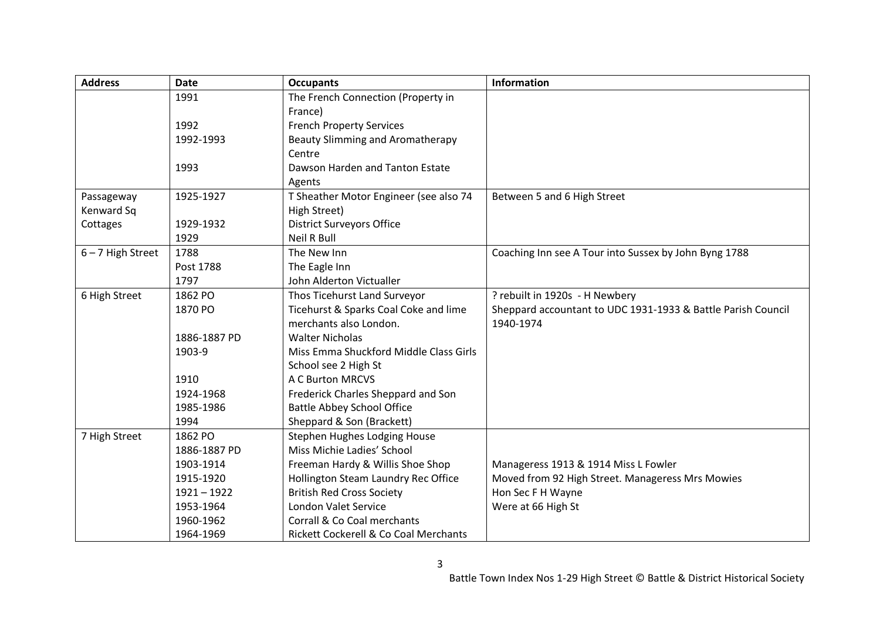| <b>Address</b>      | <b>Date</b>   | <b>Occupants</b>                        | <b>Information</b>                                           |
|---------------------|---------------|-----------------------------------------|--------------------------------------------------------------|
|                     | 1991          | The French Connection (Property in      |                                                              |
|                     |               | France)                                 |                                                              |
|                     | 1992          | <b>French Property Services</b>         |                                                              |
|                     | 1992-1993     | <b>Beauty Slimming and Aromatherapy</b> |                                                              |
|                     |               | Centre                                  |                                                              |
|                     | 1993          | Dawson Harden and Tanton Estate         |                                                              |
|                     |               | Agents                                  |                                                              |
| Passageway          | 1925-1927     | T Sheather Motor Engineer (see also 74  | Between 5 and 6 High Street                                  |
| Kenward Sq          |               | High Street)                            |                                                              |
| Cottages            | 1929-1932     | <b>District Surveyors Office</b>        |                                                              |
|                     | 1929          | <b>Neil R Bull</b>                      |                                                              |
| $6 - 7$ High Street | 1788          | The New Inn                             | Coaching Inn see A Tour into Sussex by John Byng 1788        |
|                     | Post 1788     | The Eagle Inn                           |                                                              |
|                     | 1797          | John Alderton Victualler                |                                                              |
| 6 High Street       | 1862 PO       | Thos Ticehurst Land Surveyor            | ? rebuilt in 1920s - H Newbery                               |
|                     | 1870 PO       | Ticehurst & Sparks Coal Coke and lime   | Sheppard accountant to UDC 1931-1933 & Battle Parish Council |
|                     |               | merchants also London.                  | 1940-1974                                                    |
|                     | 1886-1887 PD  | <b>Walter Nicholas</b>                  |                                                              |
|                     | 1903-9        | Miss Emma Shuckford Middle Class Girls  |                                                              |
|                     |               | School see 2 High St                    |                                                              |
|                     | 1910          | A C Burton MRCVS                        |                                                              |
|                     | 1924-1968     | Frederick Charles Sheppard and Son      |                                                              |
|                     | 1985-1986     | <b>Battle Abbey School Office</b>       |                                                              |
|                     | 1994          | Sheppard & Son (Brackett)               |                                                              |
| 7 High Street       | 1862 PO       | Stephen Hughes Lodging House            |                                                              |
|                     | 1886-1887 PD  | Miss Michie Ladies' School              |                                                              |
|                     | 1903-1914     | Freeman Hardy & Willis Shoe Shop        | Manageress 1913 & 1914 Miss L Fowler                         |
|                     | 1915-1920     | Hollington Steam Laundry Rec Office     | Moved from 92 High Street. Manageress Mrs Mowies             |
|                     | $1921 - 1922$ | <b>British Red Cross Society</b>        | Hon Sec F H Wayne                                            |
|                     | 1953-1964     | London Valet Service                    | Were at 66 High St                                           |
|                     | 1960-1962     | Corrall & Co Coal merchants             |                                                              |
|                     | 1964-1969     | Rickett Cockerell & Co Coal Merchants   |                                                              |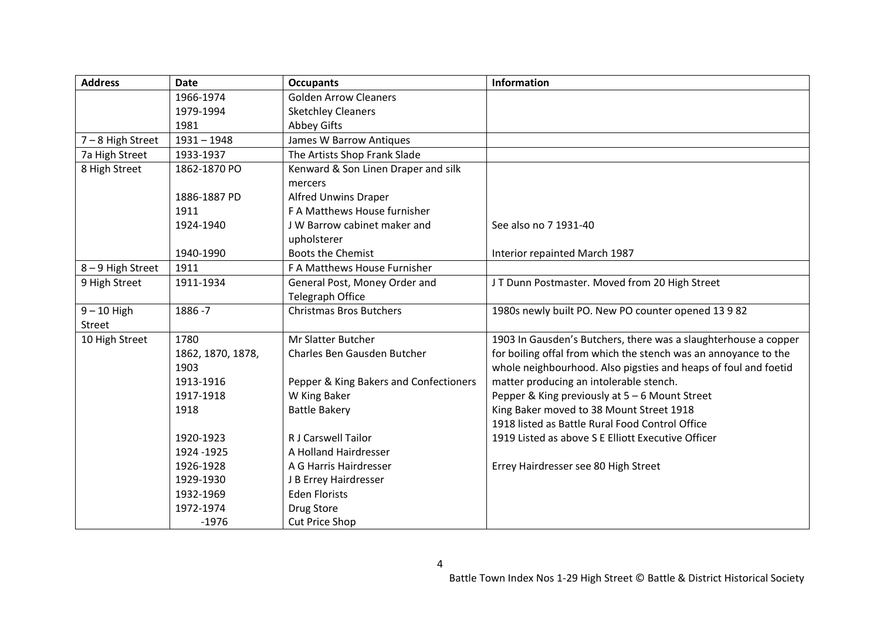| <b>Address</b>  | <b>Date</b>       | <b>Occupants</b>                       | <b>Information</b>                                              |
|-----------------|-------------------|----------------------------------------|-----------------------------------------------------------------|
|                 | 1966-1974         | <b>Golden Arrow Cleaners</b>           |                                                                 |
|                 | 1979-1994         | <b>Sketchley Cleaners</b>              |                                                                 |
|                 | 1981              | <b>Abbey Gifts</b>                     |                                                                 |
| 7-8 High Street | $1931 - 1948$     | James W Barrow Antiques                |                                                                 |
| 7a High Street  | 1933-1937         | The Artists Shop Frank Slade           |                                                                 |
| 8 High Street   | 1862-1870 PO      | Kenward & Son Linen Draper and silk    |                                                                 |
|                 |                   | mercers                                |                                                                 |
|                 | 1886-1887 PD      | <b>Alfred Unwins Draper</b>            |                                                                 |
|                 | 1911              | F A Matthews House furnisher           |                                                                 |
|                 | 1924-1940         | J W Barrow cabinet maker and           | See also no 7 1931-40                                           |
|                 |                   | upholsterer                            |                                                                 |
|                 | 1940-1990         | <b>Boots the Chemist</b>               | Interior repainted March 1987                                   |
| 8-9 High Street | 1911              | F A Matthews House Furnisher           |                                                                 |
| 9 High Street   | 1911-1934         | General Post, Money Order and          | JT Dunn Postmaster. Moved from 20 High Street                   |
|                 |                   | <b>Telegraph Office</b>                |                                                                 |
| $9 - 10$ High   | 1886 - 7          | <b>Christmas Bros Butchers</b>         | 1980s newly built PO. New PO counter opened 13 9 82             |
| <b>Street</b>   |                   |                                        |                                                                 |
| 10 High Street  | 1780              | <b>Mr Slatter Butcher</b>              | 1903 In Gausden's Butchers, there was a slaughterhouse a copper |
|                 | 1862, 1870, 1878, | Charles Ben Gausden Butcher            | for boiling offal from which the stench was an annoyance to the |
|                 | 1903              |                                        | whole neighbourhood. Also pigsties and heaps of foul and foetid |
|                 | 1913-1916         | Pepper & King Bakers and Confectioners | matter producing an intolerable stench.                         |
|                 | 1917-1918         | W King Baker                           | Pepper & King previously at 5 - 6 Mount Street                  |
|                 | 1918              | <b>Battle Bakery</b>                   | King Baker moved to 38 Mount Street 1918                        |
|                 |                   |                                        | 1918 listed as Battle Rural Food Control Office                 |
|                 | 1920-1923         | <b>R J Carswell Tailor</b>             | 1919 Listed as above S E Elliott Executive Officer              |
|                 | 1924 - 1925       | A Holland Hairdresser                  |                                                                 |
|                 | 1926-1928         | A G Harris Hairdresser                 | Errey Hairdresser see 80 High Street                            |
|                 | 1929-1930         | J B Errey Hairdresser                  |                                                                 |
|                 | 1932-1969         | <b>Eden Florists</b>                   |                                                                 |
|                 | 1972-1974         | Drug Store                             |                                                                 |
|                 | $-1976$           | <b>Cut Price Shop</b>                  |                                                                 |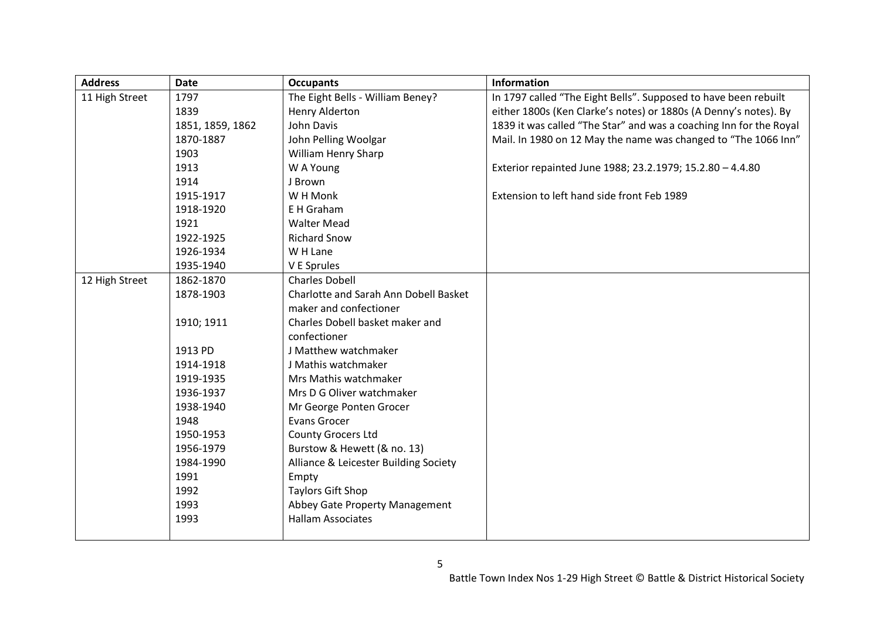| <b>Address</b> | <b>Date</b>      | <b>Occupants</b>                      | <b>Information</b>                                                 |
|----------------|------------------|---------------------------------------|--------------------------------------------------------------------|
| 11 High Street | 1797             | The Eight Bells - William Beney?      | In 1797 called "The Eight Bells". Supposed to have been rebuilt    |
|                | 1839             | Henry Alderton                        | either 1800s (Ken Clarke's notes) or 1880s (A Denny's notes). By   |
|                | 1851, 1859, 1862 | John Davis                            | 1839 it was called "The Star" and was a coaching Inn for the Royal |
|                | 1870-1887        | John Pelling Woolgar                  | Mail. In 1980 on 12 May the name was changed to "The 1066 Inn"     |
|                | 1903             | William Henry Sharp                   |                                                                    |
|                | 1913             | W A Young                             | Exterior repainted June 1988; 23.2.1979; 15.2.80 - 4.4.80          |
|                | 1914             | J Brown                               |                                                                    |
|                | 1915-1917        | W H Monk                              | Extension to left hand side front Feb 1989                         |
|                | 1918-1920        | E H Graham                            |                                                                    |
|                | 1921             | <b>Walter Mead</b>                    |                                                                    |
|                | 1922-1925        | <b>Richard Snow</b>                   |                                                                    |
|                | 1926-1934        | W H Lane                              |                                                                    |
|                | 1935-1940        | V E Sprules                           |                                                                    |
| 12 High Street | 1862-1870        | <b>Charles Dobell</b>                 |                                                                    |
|                | 1878-1903        | Charlotte and Sarah Ann Dobell Basket |                                                                    |
|                |                  | maker and confectioner                |                                                                    |
|                | 1910; 1911       | Charles Dobell basket maker and       |                                                                    |
|                |                  | confectioner                          |                                                                    |
|                | 1913 PD          | J Matthew watchmaker                  |                                                                    |
|                | 1914-1918        | J Mathis watchmaker                   |                                                                    |
|                | 1919-1935        | Mrs Mathis watchmaker                 |                                                                    |
|                | 1936-1937        | Mrs D G Oliver watchmaker             |                                                                    |
|                | 1938-1940        | Mr George Ponten Grocer               |                                                                    |
|                | 1948             | Evans Grocer                          |                                                                    |
|                | 1950-1953        | County Grocers Ltd                    |                                                                    |
|                | 1956-1979        | Burstow & Hewett (& no. 13)           |                                                                    |
|                | 1984-1990        | Alliance & Leicester Building Society |                                                                    |
|                | 1991             | Empty                                 |                                                                    |
|                | 1992             | <b>Taylors Gift Shop</b>              |                                                                    |
|                | 1993             | Abbey Gate Property Management        |                                                                    |
|                | 1993             | <b>Hallam Associates</b>              |                                                                    |
|                |                  |                                       |                                                                    |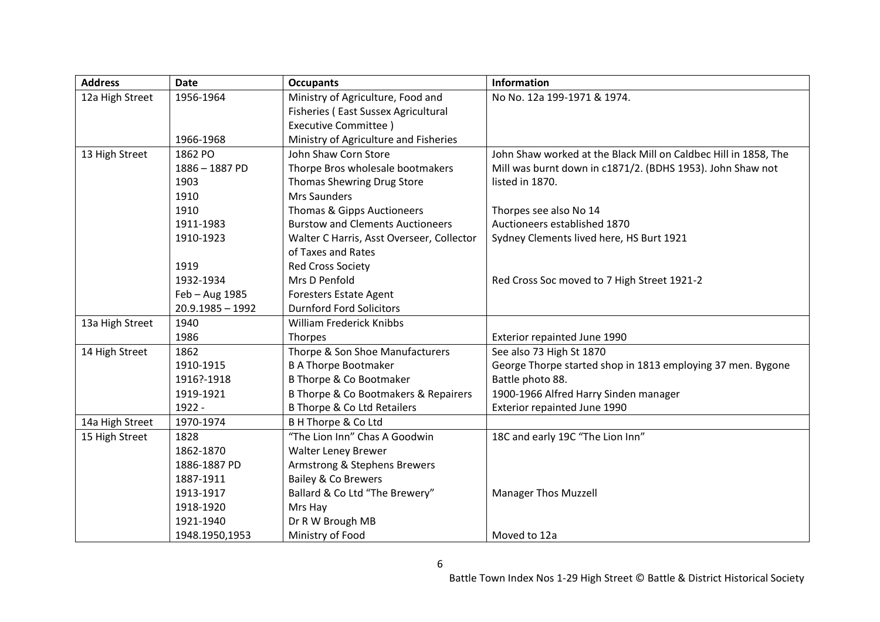| <b>Address</b>  | <b>Date</b>        | <b>Occupants</b>                          | Information                                                     |
|-----------------|--------------------|-------------------------------------------|-----------------------------------------------------------------|
| 12a High Street | 1956-1964          | Ministry of Agriculture, Food and         | No No. 12a 199-1971 & 1974.                                     |
|                 |                    | Fisheries (East Sussex Agricultural       |                                                                 |
|                 |                    | <b>Executive Committee</b> )              |                                                                 |
|                 | 1966-1968          | Ministry of Agriculture and Fisheries     |                                                                 |
| 13 High Street  | 1862 PO            | John Shaw Corn Store                      | John Shaw worked at the Black Mill on Caldbec Hill in 1858, The |
|                 | 1886-1887 PD       | Thorpe Bros wholesale bootmakers          | Mill was burnt down in c1871/2. (BDHS 1953). John Shaw not      |
|                 | 1903               | Thomas Shewring Drug Store                | listed in 1870.                                                 |
|                 | 1910               | Mrs Saunders                              |                                                                 |
|                 | 1910               | Thomas & Gipps Auctioneers                | Thorpes see also No 14                                          |
|                 | 1911-1983          | <b>Burstow and Clements Auctioneers</b>   | Auctioneers established 1870                                    |
|                 | 1910-1923          | Walter C Harris, Asst Overseer, Collector | Sydney Clements lived here, HS Burt 1921                        |
|                 |                    | of Taxes and Rates                        |                                                                 |
|                 | 1919               | <b>Red Cross Society</b>                  |                                                                 |
|                 | 1932-1934          | Mrs D Penfold                             | Red Cross Soc moved to 7 High Street 1921-2                     |
|                 | Feb - Aug 1985     | <b>Foresters Estate Agent</b>             |                                                                 |
|                 | $20.9.1985 - 1992$ | <b>Durnford Ford Solicitors</b>           |                                                                 |
| 13a High Street | 1940               | <b>William Frederick Knibbs</b>           |                                                                 |
|                 | 1986               | <b>Thorpes</b>                            | Exterior repainted June 1990                                    |
| 14 High Street  | 1862               | Thorpe & Son Shoe Manufacturers           | See also 73 High St 1870                                        |
|                 | 1910-1915          | <b>B A Thorpe Bootmaker</b>               | George Thorpe started shop in 1813 employing 37 men. Bygone     |
|                 | 1916?-1918         | <b>B Thorpe &amp; Co Bootmaker</b>        | Battle photo 88.                                                |
|                 | 1919-1921          | B Thorpe & Co Bootmakers & Repairers      | 1900-1966 Alfred Harry Sinden manager                           |
|                 | 1922 -             | <b>B Thorpe &amp; Co Ltd Retailers</b>    | Exterior repainted June 1990                                    |
| 14a High Street | 1970-1974          | B H Thorpe & Co Ltd                       |                                                                 |
| 15 High Street  | 1828               | "The Lion Inn" Chas A Goodwin             | 18C and early 19C "The Lion Inn"                                |
|                 | 1862-1870          | <b>Walter Leney Brewer</b>                |                                                                 |
|                 | 1886-1887 PD       | Armstrong & Stephens Brewers              |                                                                 |
|                 | 1887-1911          | Bailey & Co Brewers                       |                                                                 |
|                 | 1913-1917          | Ballard & Co Ltd "The Brewery"            | <b>Manager Thos Muzzell</b>                                     |
|                 | 1918-1920          | Mrs Hay                                   |                                                                 |
|                 | 1921-1940          | Dr R W Brough MB                          |                                                                 |
|                 | 1948.1950,1953     | Ministry of Food                          | Moved to 12a                                                    |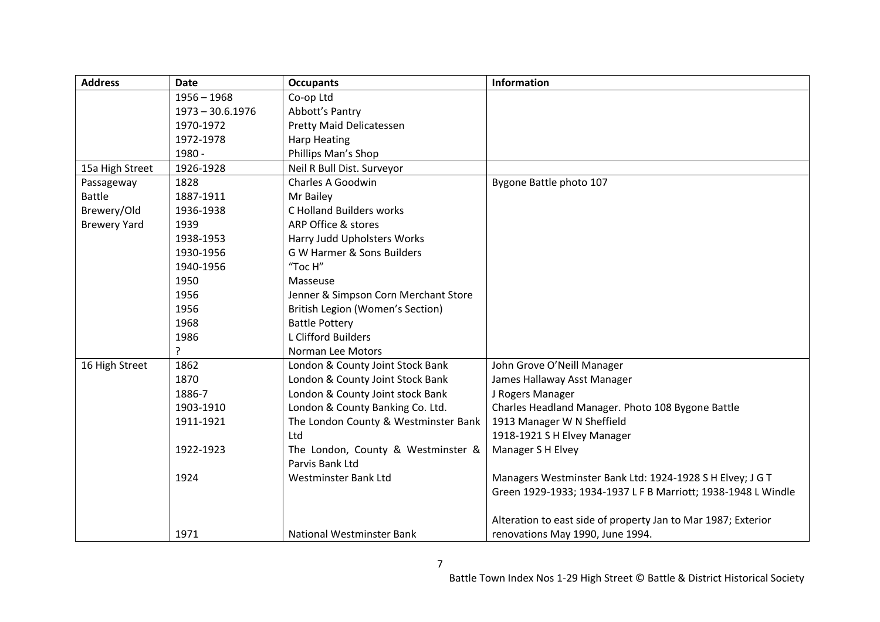| <b>Address</b>      | <b>Date</b>        | <b>Occupants</b>                     | Information                                                   |
|---------------------|--------------------|--------------------------------------|---------------------------------------------------------------|
|                     | $1956 - 1968$      | Co-op Ltd                            |                                                               |
|                     | $1973 - 30.6.1976$ | Abbott's Pantry                      |                                                               |
|                     | 1970-1972          | Pretty Maid Delicatessen             |                                                               |
|                     | 1972-1978          | <b>Harp Heating</b>                  |                                                               |
|                     | 1980 -             | Phillips Man's Shop                  |                                                               |
| 15a High Street     | 1926-1928          | Neil R Bull Dist. Surveyor           |                                                               |
| Passageway          | 1828               | <b>Charles A Goodwin</b>             | Bygone Battle photo 107                                       |
| <b>Battle</b>       | 1887-1911          | Mr Bailey                            |                                                               |
| Brewery/Old         | 1936-1938          | <b>C Holland Builders works</b>      |                                                               |
| <b>Brewery Yard</b> | 1939               | ARP Office & stores                  |                                                               |
|                     | 1938-1953          | Harry Judd Upholsters Works          |                                                               |
|                     | 1930-1956          | G W Harmer & Sons Builders           |                                                               |
|                     | 1940-1956          | "Toc H"                              |                                                               |
|                     | 1950               | Masseuse                             |                                                               |
|                     | 1956               | Jenner & Simpson Corn Merchant Store |                                                               |
|                     | 1956               | British Legion (Women's Section)     |                                                               |
|                     | 1968               | <b>Battle Pottery</b>                |                                                               |
|                     | 1986               | L Clifford Builders                  |                                                               |
|                     | ?                  | Norman Lee Motors                    |                                                               |
| 16 High Street      | 1862               | London & County Joint Stock Bank     | John Grove O'Neill Manager                                    |
|                     | 1870               | London & County Joint Stock Bank     | James Hallaway Asst Manager                                   |
|                     | 1886-7             | London & County Joint stock Bank     | J Rogers Manager                                              |
|                     | 1903-1910          | London & County Banking Co. Ltd.     | Charles Headland Manager. Photo 108 Bygone Battle             |
|                     | 1911-1921          | The London County & Westminster Bank | 1913 Manager W N Sheffield                                    |
|                     |                    | Ltd                                  | 1918-1921 S H Elvey Manager                                   |
|                     | 1922-1923          | The London, County & Westminster &   | Manager S H Elvey                                             |
|                     |                    | Parvis Bank Ltd                      |                                                               |
|                     | 1924               | Westminster Bank Ltd                 | Managers Westminster Bank Ltd: 1924-1928 S H Elvey; J G T     |
|                     |                    |                                      | Green 1929-1933; 1934-1937 L F B Marriott; 1938-1948 L Windle |
|                     |                    |                                      | Alteration to east side of property Jan to Mar 1987; Exterior |
|                     | 1971               | National Westminster Bank            | renovations May 1990, June 1994.                              |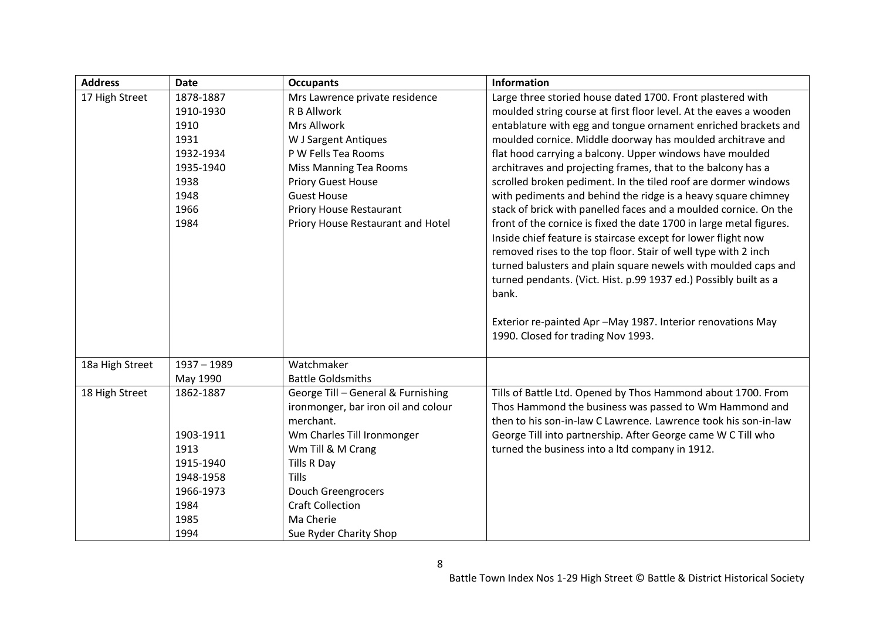| <b>Address</b>  | <b>Date</b>   | <b>Occupants</b>                    | <b>Information</b>                                                  |
|-----------------|---------------|-------------------------------------|---------------------------------------------------------------------|
| 17 High Street  | 1878-1887     | Mrs Lawrence private residence      | Large three storied house dated 1700. Front plastered with          |
|                 | 1910-1930     | R B Allwork                         | moulded string course at first floor level. At the eaves a wooden   |
|                 | 1910          | Mrs Allwork                         | entablature with egg and tongue ornament enriched brackets and      |
|                 | 1931          | W J Sargent Antiques                | moulded cornice. Middle doorway has moulded architrave and          |
|                 | 1932-1934     | P W Fells Tea Rooms                 | flat hood carrying a balcony. Upper windows have moulded            |
|                 | 1935-1940     | <b>Miss Manning Tea Rooms</b>       | architraves and projecting frames, that to the balcony has a        |
|                 | 1938          | <b>Priory Guest House</b>           | scrolled broken pediment. In the tiled roof are dormer windows      |
|                 | 1948          | <b>Guest House</b>                  | with pediments and behind the ridge is a heavy square chimney       |
|                 | 1966          | <b>Priory House Restaurant</b>      | stack of brick with panelled faces and a moulded cornice. On the    |
|                 | 1984          | Priory House Restaurant and Hotel   | front of the cornice is fixed the date 1700 in large metal figures. |
|                 |               |                                     | Inside chief feature is staircase except for lower flight now       |
|                 |               |                                     | removed rises to the top floor. Stair of well type with 2 inch      |
|                 |               |                                     | turned balusters and plain square newels with moulded caps and      |
|                 |               |                                     | turned pendants. (Vict. Hist. p.99 1937 ed.) Possibly built as a    |
|                 |               |                                     | bank.                                                               |
|                 |               |                                     |                                                                     |
|                 |               |                                     | Exterior re-painted Apr -May 1987. Interior renovations May         |
|                 |               |                                     | 1990. Closed for trading Nov 1993.                                  |
|                 |               |                                     |                                                                     |
| 18a High Street | $1937 - 1989$ | Watchmaker                          |                                                                     |
|                 | May 1990      | <b>Battle Goldsmiths</b>            |                                                                     |
| 18 High Street  | 1862-1887     | George Till - General & Furnishing  | Tills of Battle Ltd. Opened by Thos Hammond about 1700. From        |
|                 |               | ironmonger, bar iron oil and colour | Thos Hammond the business was passed to Wm Hammond and              |
|                 |               | merchant.                           | then to his son-in-law C Lawrence. Lawrence took his son-in-law     |
|                 | 1903-1911     | Wm Charles Till Ironmonger          | George Till into partnership. After George came W C Till who        |
|                 | 1913          | Wm Till & M Crang                   | turned the business into a ltd company in 1912.                     |
|                 | 1915-1940     | Tills R Day                         |                                                                     |
|                 | 1948-1958     | <b>Tills</b>                        |                                                                     |
|                 | 1966-1973     | Douch Greengrocers                  |                                                                     |
|                 | 1984          | <b>Craft Collection</b>             |                                                                     |
|                 | 1985          | Ma Cherie                           |                                                                     |
|                 | 1994          | Sue Ryder Charity Shop              |                                                                     |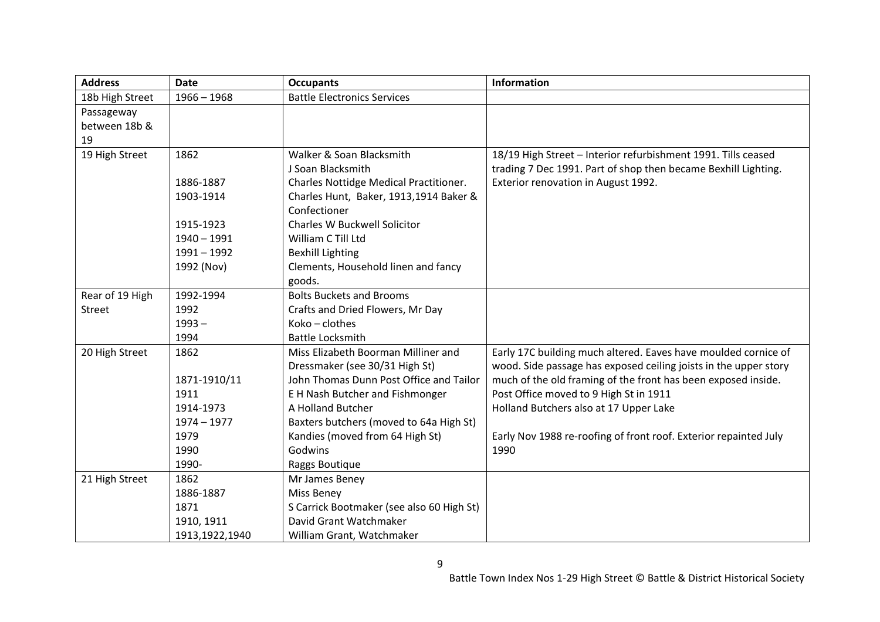| <b>Address</b>  | <b>Date</b>    | <b>Occupants</b>                          | <b>Information</b>                                               |
|-----------------|----------------|-------------------------------------------|------------------------------------------------------------------|
| 18b High Street | $1966 - 1968$  | <b>Battle Electronics Services</b>        |                                                                  |
| Passageway      |                |                                           |                                                                  |
| between 18b &   |                |                                           |                                                                  |
| 19              |                |                                           |                                                                  |
| 19 High Street  | 1862           | Walker & Soan Blacksmith                  | 18/19 High Street - Interior refurbishment 1991. Tills ceased    |
|                 |                | J Soan Blacksmith                         | trading 7 Dec 1991. Part of shop then became Bexhill Lighting.   |
|                 | 1886-1887      | Charles Nottidge Medical Practitioner.    | Exterior renovation in August 1992.                              |
|                 | 1903-1914      | Charles Hunt, Baker, 1913,1914 Baker &    |                                                                  |
|                 |                | Confectioner                              |                                                                  |
|                 | 1915-1923      | <b>Charles W Buckwell Solicitor</b>       |                                                                  |
|                 | $1940 - 1991$  | William C Till Ltd                        |                                                                  |
|                 | $1991 - 1992$  | <b>Bexhill Lighting</b>                   |                                                                  |
|                 | 1992 (Nov)     | Clements, Household linen and fancy       |                                                                  |
|                 |                | goods.                                    |                                                                  |
| Rear of 19 High | 1992-1994      | <b>Bolts Buckets and Brooms</b>           |                                                                  |
| Street          | 1992           | Crafts and Dried Flowers, Mr Day          |                                                                  |
|                 | $1993 -$       | $Koko - clothes$                          |                                                                  |
|                 | 1994           | <b>Battle Locksmith</b>                   |                                                                  |
| 20 High Street  | 1862           | Miss Elizabeth Boorman Milliner and       | Early 17C building much altered. Eaves have moulded cornice of   |
|                 |                | Dressmaker (see 30/31 High St)            | wood. Side passage has exposed ceiling joists in the upper story |
|                 | 1871-1910/11   | John Thomas Dunn Post Office and Tailor   | much of the old framing of the front has been exposed inside.    |
|                 | 1911           | E H Nash Butcher and Fishmonger           | Post Office moved to 9 High St in 1911                           |
|                 | 1914-1973      | A Holland Butcher                         | Holland Butchers also at 17 Upper Lake                           |
|                 | $1974 - 1977$  | Baxters butchers (moved to 64a High St)   |                                                                  |
|                 | 1979           | Kandies (moved from 64 High St)           | Early Nov 1988 re-roofing of front roof. Exterior repainted July |
|                 | 1990           | Godwins                                   | 1990                                                             |
|                 | 1990-          | Raggs Boutique                            |                                                                  |
| 21 High Street  | 1862           | Mr James Beney                            |                                                                  |
|                 | 1886-1887      | Miss Beney                                |                                                                  |
|                 | 1871           | S Carrick Bootmaker (see also 60 High St) |                                                                  |
|                 | 1910, 1911     | David Grant Watchmaker                    |                                                                  |
|                 | 1913,1922,1940 | William Grant, Watchmaker                 |                                                                  |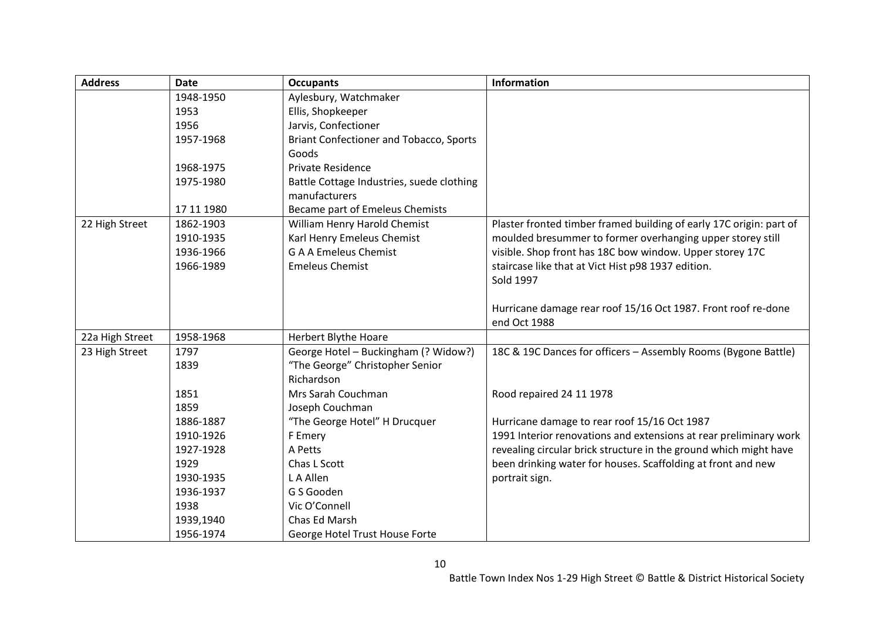| <b>Address</b>  | <b>Date</b> | <b>Occupants</b>                               | <b>Information</b>                                                  |
|-----------------|-------------|------------------------------------------------|---------------------------------------------------------------------|
|                 | 1948-1950   | Aylesbury, Watchmaker                          |                                                                     |
|                 | 1953        | Ellis, Shopkeeper                              |                                                                     |
|                 | 1956        | Jarvis, Confectioner                           |                                                                     |
|                 | 1957-1968   | <b>Briant Confectioner and Tobacco, Sports</b> |                                                                     |
|                 |             | Goods                                          |                                                                     |
|                 | 1968-1975   | <b>Private Residence</b>                       |                                                                     |
|                 | 1975-1980   | Battle Cottage Industries, suede clothing      |                                                                     |
|                 |             | manufacturers                                  |                                                                     |
|                 | 17 11 1980  | Became part of Emeleus Chemists                |                                                                     |
| 22 High Street  | 1862-1903   | William Henry Harold Chemist                   | Plaster fronted timber framed building of early 17C origin: part of |
|                 | 1910-1935   | Karl Henry Emeleus Chemist                     | moulded bresummer to former overhanging upper storey still          |
|                 | 1936-1966   | <b>G A A Emeleus Chemist</b>                   | visible. Shop front has 18C bow window. Upper storey 17C            |
|                 | 1966-1989   | <b>Emeleus Chemist</b>                         | staircase like that at Vict Hist p98 1937 edition.                  |
|                 |             |                                                | Sold 1997                                                           |
|                 |             |                                                |                                                                     |
|                 |             |                                                | Hurricane damage rear roof 15/16 Oct 1987. Front roof re-done       |
|                 |             |                                                | end Oct 1988                                                        |
| 22a High Street | 1958-1968   | <b>Herbert Blythe Hoare</b>                    |                                                                     |
| 23 High Street  | 1797        | George Hotel - Buckingham (? Widow?)           | 18C & 19C Dances for officers - Assembly Rooms (Bygone Battle)      |
|                 | 1839        | "The George" Christopher Senior                |                                                                     |
|                 |             | Richardson                                     |                                                                     |
|                 | 1851        | Mrs Sarah Couchman                             | Rood repaired 24 11 1978                                            |
|                 | 1859        | Joseph Couchman                                |                                                                     |
|                 | 1886-1887   | "The George Hotel" H Drucquer                  | Hurricane damage to rear roof 15/16 Oct 1987                        |
|                 | 1910-1926   | F Emery                                        | 1991 Interior renovations and extensions at rear preliminary work   |
|                 | 1927-1928   | A Petts                                        | revealing circular brick structure in the ground which might have   |
|                 | 1929        | Chas L Scott                                   | been drinking water for houses. Scaffolding at front and new        |
|                 | 1930-1935   | L A Allen                                      | portrait sign.                                                      |
|                 | 1936-1937   | G S Gooden                                     |                                                                     |
|                 | 1938        | Vic O'Connell                                  |                                                                     |
|                 | 1939,1940   | Chas Ed Marsh                                  |                                                                     |
|                 | 1956-1974   | George Hotel Trust House Forte                 |                                                                     |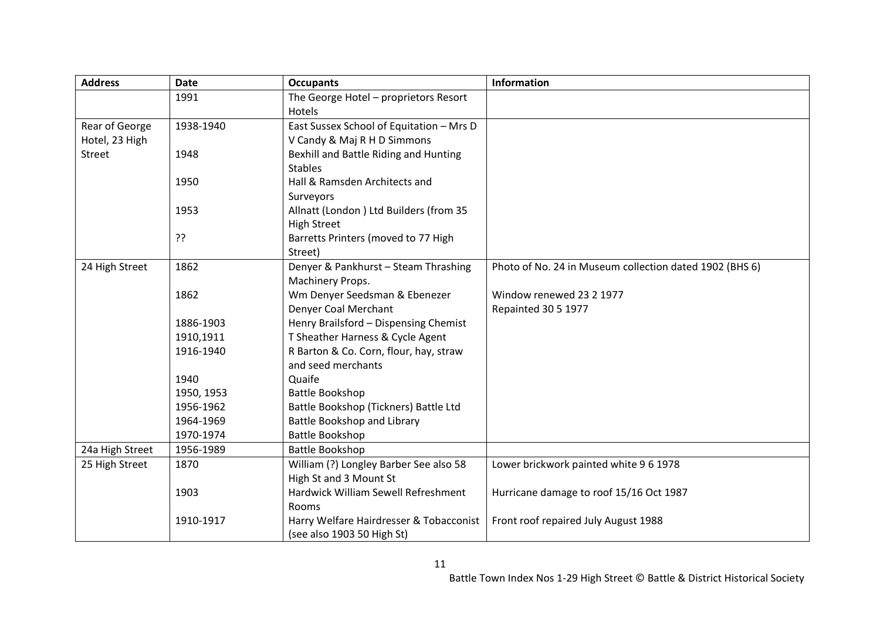| <b>Address</b>  | <b>Date</b> | <b>Occupants</b>                         | <b>Information</b>                                      |
|-----------------|-------------|------------------------------------------|---------------------------------------------------------|
|                 | 1991        | The George Hotel - proprietors Resort    |                                                         |
|                 |             | Hotels                                   |                                                         |
| Rear of George  | 1938-1940   | East Sussex School of Equitation - Mrs D |                                                         |
| Hotel, 23 High  |             | V Candy & Maj R H D Simmons              |                                                         |
| Street          | 1948        | Bexhill and Battle Riding and Hunting    |                                                         |
|                 |             | <b>Stables</b>                           |                                                         |
|                 | 1950        | Hall & Ramsden Architects and            |                                                         |
|                 |             | Surveyors                                |                                                         |
|                 | 1953        | Allnatt (London) Ltd Builders (from 35   |                                                         |
|                 |             | <b>High Street</b>                       |                                                         |
|                 | ??          | Barretts Printers (moved to 77 High      |                                                         |
|                 |             | Street)                                  |                                                         |
| 24 High Street  | 1862        | Denyer & Pankhurst - Steam Thrashing     | Photo of No. 24 in Museum collection dated 1902 (BHS 6) |
|                 |             | Machinery Props.                         |                                                         |
|                 | 1862        | Wm Denyer Seedsman & Ebenezer            | Window renewed 23 2 1977                                |
|                 |             | Denyer Coal Merchant                     | Repainted 30 5 1977                                     |
|                 | 1886-1903   | Henry Brailsford - Dispensing Chemist    |                                                         |
|                 | 1910,1911   | T Sheather Harness & Cycle Agent         |                                                         |
|                 | 1916-1940   | R Barton & Co. Corn, flour, hay, straw   |                                                         |
|                 |             | and seed merchants                       |                                                         |
|                 | 1940        | Quaife                                   |                                                         |
|                 | 1950, 1953  | Battle Bookshop                          |                                                         |
|                 | 1956-1962   | Battle Bookshop (Tickners) Battle Ltd    |                                                         |
|                 | 1964-1969   | Battle Bookshop and Library              |                                                         |
|                 | 1970-1974   | Battle Bookshop                          |                                                         |
| 24a High Street | 1956-1989   | <b>Battle Bookshop</b>                   |                                                         |
| 25 High Street  | 1870        | William (?) Longley Barber See also 58   | Lower brickwork painted white 9 6 1978                  |
|                 |             | High St and 3 Mount St                   |                                                         |
|                 | 1903        | Hardwick William Sewell Refreshment      | Hurricane damage to roof 15/16 Oct 1987                 |
|                 |             | Rooms                                    |                                                         |
|                 | 1910-1917   | Harry Welfare Hairdresser & Tobacconist  | Front roof repaired July August 1988                    |
|                 |             | (see also 1903 50 High St)               |                                                         |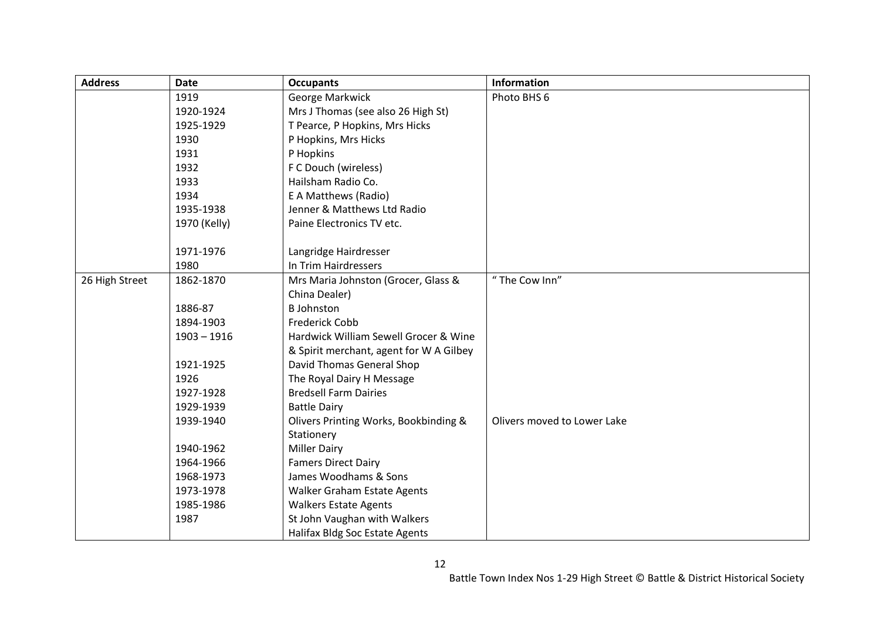| <b>Address</b> | <b>Date</b>   | <b>Occupants</b>                        | <b>Information</b>          |
|----------------|---------------|-----------------------------------------|-----------------------------|
|                | 1919          | George Markwick                         | Photo BHS 6                 |
|                | 1920-1924     | Mrs J Thomas (see also 26 High St)      |                             |
|                | 1925-1929     | T Pearce, P Hopkins, Mrs Hicks          |                             |
|                | 1930          | P Hopkins, Mrs Hicks                    |                             |
|                | 1931          | P Hopkins                               |                             |
|                | 1932          | F C Douch (wireless)                    |                             |
|                | 1933          | Hailsham Radio Co.                      |                             |
|                | 1934          | E A Matthews (Radio)                    |                             |
|                | 1935-1938     | Jenner & Matthews Ltd Radio             |                             |
|                | 1970 (Kelly)  | Paine Electronics TV etc.               |                             |
|                |               |                                         |                             |
|                | 1971-1976     | Langridge Hairdresser                   |                             |
|                | 1980          | In Trim Hairdressers                    |                             |
| 26 High Street | 1862-1870     | Mrs Maria Johnston (Grocer, Glass &     | "The Cow Inn"               |
|                |               | China Dealer)                           |                             |
|                | 1886-87       | <b>B</b> Johnston                       |                             |
|                | 1894-1903     | <b>Frederick Cobb</b>                   |                             |
|                | $1903 - 1916$ | Hardwick William Sewell Grocer & Wine   |                             |
|                |               | & Spirit merchant, agent for W A Gilbey |                             |
|                | 1921-1925     | David Thomas General Shop               |                             |
|                | 1926          | The Royal Dairy H Message               |                             |
|                | 1927-1928     | <b>Bredsell Farm Dairies</b>            |                             |
|                | 1929-1939     | <b>Battle Dairy</b>                     |                             |
|                | 1939-1940     | Olivers Printing Works, Bookbinding &   | Olivers moved to Lower Lake |
|                |               | Stationery                              |                             |
|                | 1940-1962     | <b>Miller Dairy</b>                     |                             |
|                | 1964-1966     | <b>Famers Direct Dairy</b>              |                             |
|                | 1968-1973     | James Woodhams & Sons                   |                             |
|                | 1973-1978     | Walker Graham Estate Agents             |                             |
|                | 1985-1986     | <b>Walkers Estate Agents</b>            |                             |
|                | 1987          | St John Vaughan with Walkers            |                             |
|                |               | Halifax Bldg Soc Estate Agents          |                             |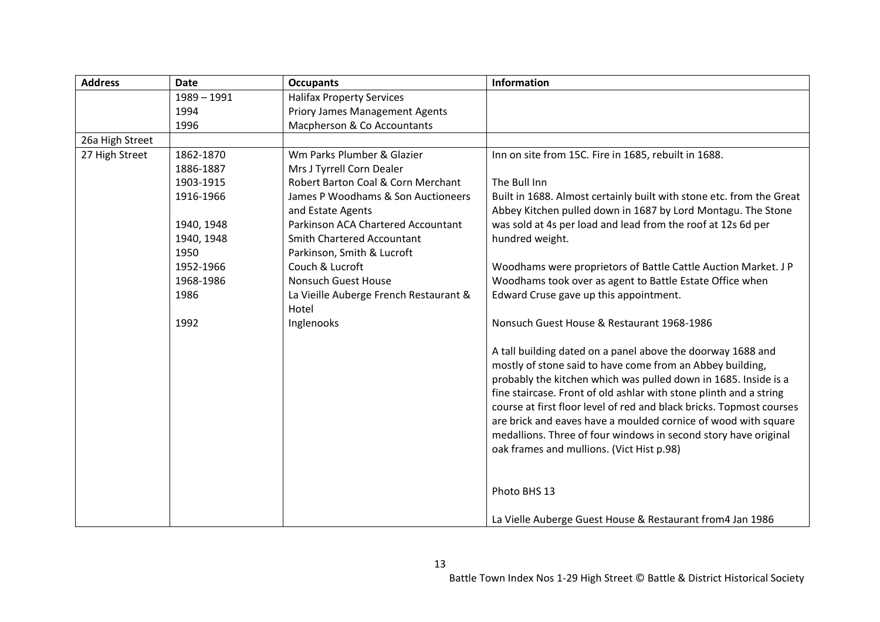| <b>Address</b>  | <b>Date</b>   | <b>Occupants</b>                                        | Information                                                                                                                          |
|-----------------|---------------|---------------------------------------------------------|--------------------------------------------------------------------------------------------------------------------------------------|
|                 | $1989 - 1991$ | <b>Halifax Property Services</b>                        |                                                                                                                                      |
|                 | 1994          | <b>Priory James Management Agents</b>                   |                                                                                                                                      |
|                 | 1996          | Macpherson & Co Accountants                             |                                                                                                                                      |
| 26a High Street |               |                                                         |                                                                                                                                      |
| 27 High Street  | 1862-1870     | Wm Parks Plumber & Glazier                              | Inn on site from 15C. Fire in 1685, rebuilt in 1688.                                                                                 |
|                 | 1886-1887     | Mrs J Tyrrell Corn Dealer                               |                                                                                                                                      |
|                 | 1903-1915     | Robert Barton Coal & Corn Merchant                      | The Bull Inn                                                                                                                         |
|                 | 1916-1966     | James P Woodhams & Son Auctioneers<br>and Estate Agents | Built in 1688. Almost certainly built with stone etc. from the Great<br>Abbey Kitchen pulled down in 1687 by Lord Montagu. The Stone |
|                 | 1940, 1948    | Parkinson ACA Chartered Accountant                      | was sold at 4s per load and lead from the roof at 12s 6d per                                                                         |
|                 | 1940, 1948    | <b>Smith Chartered Accountant</b>                       | hundred weight.                                                                                                                      |
|                 | 1950          | Parkinson, Smith & Lucroft                              |                                                                                                                                      |
|                 | 1952-1966     | Couch & Lucroft                                         | Woodhams were proprietors of Battle Cattle Auction Market. J P                                                                       |
|                 | 1968-1986     | <b>Nonsuch Guest House</b>                              | Woodhams took over as agent to Battle Estate Office when                                                                             |
|                 | 1986          | La Vieille Auberge French Restaurant &<br>Hotel         | Edward Cruse gave up this appointment.                                                                                               |
|                 | 1992          | Inglenooks                                              | Nonsuch Guest House & Restaurant 1968-1986                                                                                           |
|                 |               |                                                         | A tall building dated on a panel above the doorway 1688 and                                                                          |
|                 |               |                                                         | mostly of stone said to have come from an Abbey building,                                                                            |
|                 |               |                                                         | probably the kitchen which was pulled down in 1685. Inside is a                                                                      |
|                 |               |                                                         | fine staircase. Front of old ashlar with stone plinth and a string                                                                   |
|                 |               |                                                         | course at first floor level of red and black bricks. Topmost courses                                                                 |
|                 |               |                                                         | are brick and eaves have a moulded cornice of wood with square                                                                       |
|                 |               |                                                         | medallions. Three of four windows in second story have original                                                                      |
|                 |               |                                                         | oak frames and mullions. (Vict Hist p.98)                                                                                            |
|                 |               |                                                         | Photo BHS 13                                                                                                                         |
|                 |               |                                                         | La Vielle Auberge Guest House & Restaurant from 4 Jan 1986                                                                           |